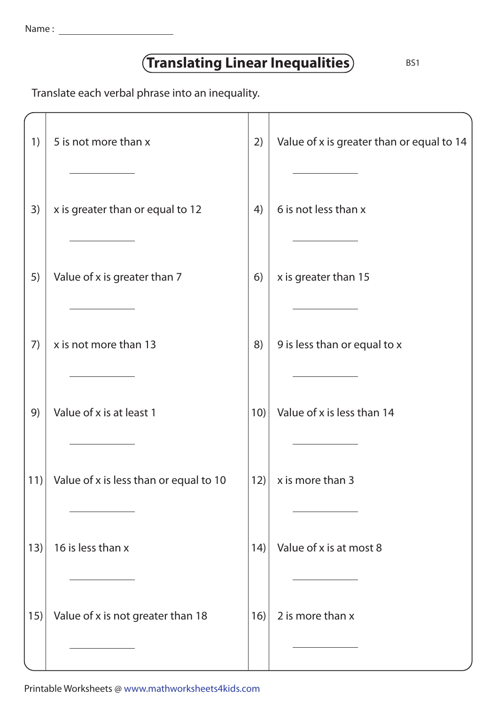| Name |  |
|------|--|
|      |  |

## **Translating Linear Inequalities** BS1

Translate each verbal phrase into an inequality.

| 1)  | 5 is not more than x                   | 2)   | Value of x is greater than or equal to 14 |
|-----|----------------------------------------|------|-------------------------------------------|
| 3)  | x is greater than or equal to 12       | 4)   | 6 is not less than x                      |
| 5)  | Value of x is greater than 7           | 6)   | x is greater than 15                      |
| 7)  | x is not more than 13                  | 8)   | 9 is less than or equal to x              |
| 9)  | Value of x is at least 1               | 10)  | Value of x is less than 14                |
| 11) | Value of x is less than or equal to 10 | 12)  | x is more than 3                          |
| 13) | 16 is less than x                      | (14) | Value of x is at most 8                   |
| 15) | Value of x is not greater than 18      | 16)  | 2 is more than x                          |

Printable Worksheets @ www.mathworksheets4kids.com